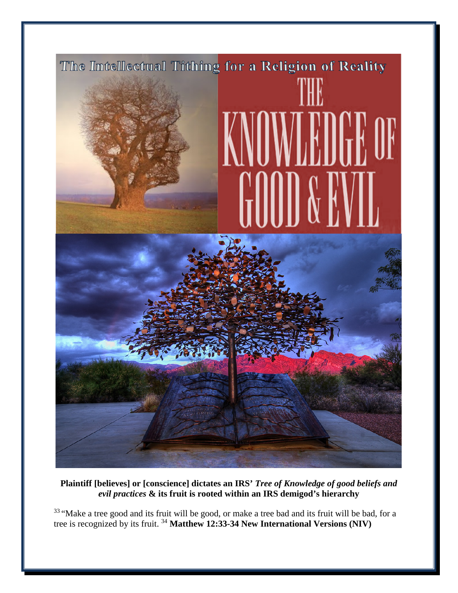

**Plaintiff [believes] or [conscience] dictates an IRS'** *Tree of Knowledge of good beliefs and evil practices* **& its fruit is rooted within an IRS demigod's hierarchy** 

<sup>33</sup> "Make a tree good and its fruit will be good, or make a tree bad and its fruit will be bad, for a tree is recognized by its fruit. <sup>34</sup> **Matthew 12:33-34 New International Versions (NIV)**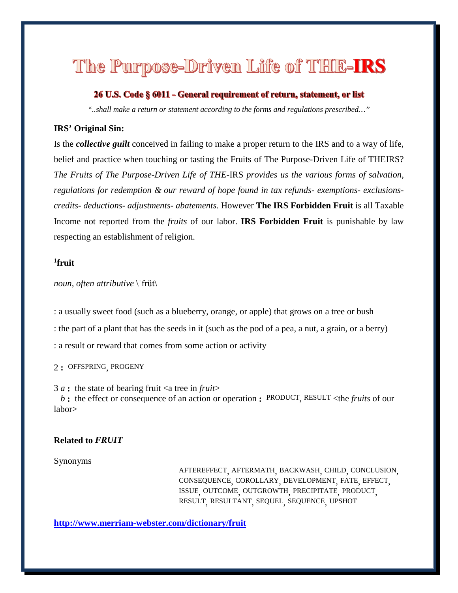# The Purpose-Driven Life of THIE-IRS

### 26 U.S. Code § 6011 - General requirement of return, statement, or list

*"..shall make a return or statement according to the forms and regulations prescribed…"*

#### **IRS' Original Sin:**

Is the *collective guilt* conceived in failing to make a proper return to the IRS and to a way of life, belief and practice when touching or tasting the Fruits of The Purpose-Driven Life of THEIRS? *The Fruits of The Purpose-Driven Life of THE-*IRS *provides us the various forms of salvation, regulations for redemption & our reward of hope found in tax refunds- exemptions- exclusionscredits- deductions- adjustments- abatements.* However **The IRS Forbidden Fruit** is all Taxable Income not reported from the *fruits* of our labor. **IRS Forbidden Fruit** is punishable by law respecting an establishment of religion.

## **1 fruit**

*noun*, *often attributive* \ˈfrüt\

: a usually sweet food (such as a blueberry, orange, or apple) that grows on a tree or bush : the part of a plant that has the seeds in it (such as the pod of a pea, a nut, a grain, or a berry) : a result or reward that comes from some action or activity

2 **:** [OFFSPRING,](http://www.merriam-webster.com/dictionary/offspring) [PROGENY](http://www.merriam-webster.com/dictionary/progeny)

3  $a$  : the state of bearing fruit  $\langle a \rangle$  are in *fruit b* **:** the effect or consequence of an action or operation **:** [PRODUCT,](http://www.merriam-webster.com/dictionary/product) [RESULT](http://www.merriam-webster.com/dictionary/result) <the *fruits* of our labor>

#### **Related to** *FRUIT*

#### Synonyms

[AFTEREFFECT,](http://www.merriam-webster.com/dictionary/aftereffect) [AFTERMATH,](http://www.merriam-webster.com/dictionary/aftermath) [BACKWASH,](http://www.merriam-webster.com/dictionary/backwash) [CHILD,](http://www.merriam-webster.com/dictionary/child) [CONCLUSION,](http://www.merriam-webster.com/dictionary/conclusion) [CONSEQUENCE,](http://www.merriam-webster.com/dictionary/consequence) [COROLLARY,](http://www.merriam-webster.com/dictionary/corollary) [DEVELOPMENT,](http://www.merriam-webster.com/dictionary/development) [FATE,](http://www.merriam-webster.com/dictionary/fate) [EFFECT,](http://www.merriam-webster.com/dictionary/effect) [ISSUE,](http://www.merriam-webster.com/dictionary/issue) [OUTCOME,](http://www.merriam-webster.com/dictionary/outcome) [OUTGROWTH,](http://www.merriam-webster.com/dictionary/outgrowth) [PRECIPITATE,](http://www.merriam-webster.com/dictionary/precipitate) [PRODUCT,](http://www.merriam-webster.com/dictionary/product) [RESULT,](http://www.merriam-webster.com/dictionary/result) [RESULTANT,](http://www.merriam-webster.com/dictionary/resultant) [SEQUEL,](http://www.merriam-webster.com/dictionary/sequel) [SEQUENCE,](http://www.merriam-webster.com/dictionary/sequence) [UPSHOT](http://www.merriam-webster.com/dictionary/upshot)

**<http://www.merriam-webster.com/dictionary/fruit>**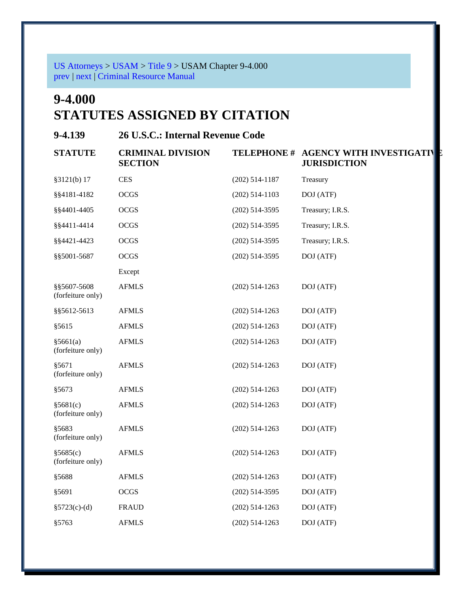[US Attorneys](http://www.justice.gov/usao/index.html) > [USAM](http://www.justice.gov/usao/eousa/foia_reading_room/usam/index.html) > [Title 9](http://www.justice.gov/usao/eousa/foia_reading_room/usam/title9/title9.htm) > USAM Chapter 9-4.000 [prev](http://www.justice.gov/usao/eousa/foia_reading_room/usam/title9/3mcrm.htm) | [next](http://www.justice.gov/usao/eousa/foia_reading_room/usam/title9/5mcrm.htm) | [Criminal Resource Manual](http://www.justice.gov/usao/eousa/foia_reading_room/usam/title9/crm00000.htm)

# **9-4.000 STATUTES ASSIGNED BY CITATION**

**9-4.139 26 U.S.C.: Internal Revenue Code** 

| <b>STATUTE</b>                   | <b>CRIMINAL DIVISION</b><br><b>SECTION</b> |                  | <b>TELEPHONE # AGENCY WITH INVESTIGATIVE</b><br><b>JURISDICTION</b> |
|----------------------------------|--------------------------------------------|------------------|---------------------------------------------------------------------|
| §3121(b) 17                      | <b>CES</b>                                 | $(202)$ 514-1187 | Treasury                                                            |
| \$\$4181-4182                    | <b>OCGS</b>                                | $(202)$ 514-1103 | DOJ (ATF)                                                           |
| §§4401-4405                      | <b>OCGS</b>                                | $(202)$ 514-3595 | Treasury; I.R.S.                                                    |
| §§4411-4414                      | <b>OCGS</b>                                | $(202)$ 514-3595 | Treasury; I.R.S.                                                    |
| §§4421-4423                      | <b>OCGS</b>                                | $(202)$ 514-3595 | Treasury; I.R.S.                                                    |
| §§5001-5687                      | <b>OCGS</b>                                | $(202)$ 514-3595 | DOJ (ATF)                                                           |
|                                  | Except                                     |                  |                                                                     |
| §§5607-5608<br>(forfeiture only) | <b>AFMLS</b>                               | $(202)$ 514-1263 | DOJ (ATF)                                                           |
| \$\$5612-5613                    | <b>AFMLS</b>                               | $(202)$ 514-1263 | DOJ (ATF)                                                           |
| §5615                            | <b>AFMLS</b>                               | $(202)$ 514-1263 | DOJ (ATF)                                                           |
| §5661(a)<br>(forfeiture only)    | <b>AFMLS</b>                               | $(202)$ 514-1263 | DOJ (ATF)                                                           |
| §5671<br>(forfeiture only)       | <b>AFMLS</b>                               | $(202)$ 514-1263 | DOJ (ATF)                                                           |
| §5673                            | <b>AFMLS</b>                               | $(202)$ 514-1263 | DOJ (ATF)                                                           |
| §5681(c)<br>(forfeiture only)    | <b>AFMLS</b>                               | $(202)$ 514-1263 | DOJ (ATF)                                                           |
| §5683<br>(forfeiture only)       | <b>AFMLS</b>                               | $(202)$ 514-1263 | DOJ (ATF)                                                           |
| §5685(c)<br>(forfeiture only)    | <b>AFMLS</b>                               | $(202)$ 514-1263 | DOJ (ATF)                                                           |
| §5688                            | <b>AFMLS</b>                               | $(202)$ 514-1263 | DOJ (ATF)                                                           |
| §5691                            | OCGS                                       | $(202)$ 514-3595 | DOJ (ATF)                                                           |
| $§5723(c)-(d)$                   | <b>FRAUD</b>                               | $(202)$ 514-1263 | DOJ (ATF)                                                           |
| §5763                            | <b>AFMLS</b>                               | $(202)$ 514-1263 | DOJ (ATF)                                                           |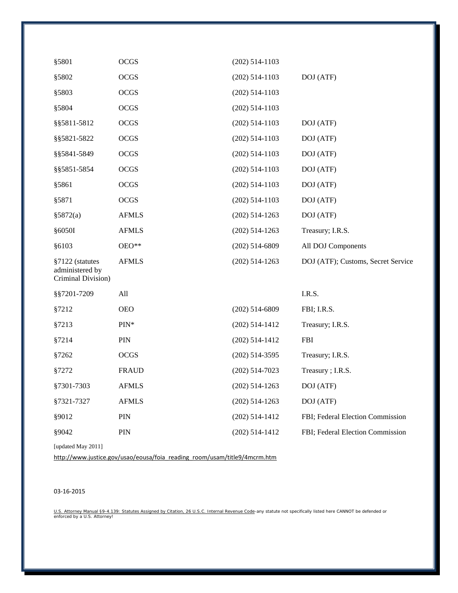| §5801                                                    | OCGS         | $(202)$ 514-1103 |                                    |
|----------------------------------------------------------|--------------|------------------|------------------------------------|
| §5802                                                    | <b>OCGS</b>  | $(202)$ 514-1103 | DOJ (ATF)                          |
| §5803                                                    | <b>OCGS</b>  | $(202)$ 514-1103 |                                    |
| §5804                                                    | OCGS         | $(202)$ 514-1103 |                                    |
| §§5811-5812                                              | OCGS         | $(202)$ 514-1103 | DOJ (ATF)                          |
| §§5821-5822                                              | <b>OCGS</b>  | $(202)$ 514-1103 | DOJ (ATF)                          |
| §§5841-5849                                              | OCGS         | $(202)$ 514-1103 | DOJ (ATF)                          |
| §§5851-5854                                              | OCGS         | $(202)$ 514-1103 | DOJ (ATF)                          |
| §5861                                                    | OCGS         | $(202)$ 514-1103 | DOJ (ATF)                          |
| §5871                                                    | OCGS         | $(202)$ 514-1103 | DOJ (ATF)                          |
| §5872(a)                                                 | <b>AFMLS</b> | $(202)$ 514-1263 | DOJ (ATF)                          |
| §6050I                                                   | <b>AFMLS</b> | $(202)$ 514-1263 | Treasury; I.R.S.                   |
| §6103                                                    | OEO**        | $(202)$ 514-6809 | All DOJ Components                 |
| §7122 (statutes<br>administered by<br>Criminal Division) | <b>AFMLS</b> | $(202)$ 514-1263 | DOJ (ATF); Customs, Secret Service |
| §§7201-7209                                              | All          |                  | I.R.S.                             |
| §7212                                                    | <b>OEO</b>   | $(202)$ 514-6809 | FBI; I.R.S.                        |
| §7213                                                    | $PIN*$       | $(202)$ 514-1412 | Treasury; I.R.S.                   |
| §7214                                                    | PIN          | $(202)$ 514-1412 | <b>FBI</b>                         |
| §7262                                                    | OCGS         | $(202)$ 514-3595 | Treasury; I.R.S.                   |
| §7272                                                    | <b>FRAUD</b> | $(202)$ 514-7023 | Treasury; I.R.S.                   |
| §7301-7303                                               | <b>AFMLS</b> | $(202)$ 514-1263 | DOJ (ATF)                          |
| §7321-7327                                               | <b>AFMLS</b> | $(202)$ 514-1263 | DOJ (ATF)                          |
| §9012                                                    | PIN          | $(202)$ 514-1412 | FBI; Federal Election Commission   |
| §9042                                                    | PIN          | $(202)$ 514-1412 | FBI; Federal Election Commission   |
| [updated May 2011]                                       |              |                  |                                    |

[http://www.justice.gov/usao/eousa/foia\\_reading\\_room/usam/title9/4mcrm.htm](http://www.justice.gov/usao/eousa/foia_reading_room/usam/title9/4mcrm.htm)

#### 03-16-2015

<u>U.S. Attorney Manual §9-4.139: Statutes Assigned by Citation, 26 U.S.C. Internal Revenue Code</u>-any statute not specifically listed here CANNOT be defended or<br>enforced by a U.S. Attorney!